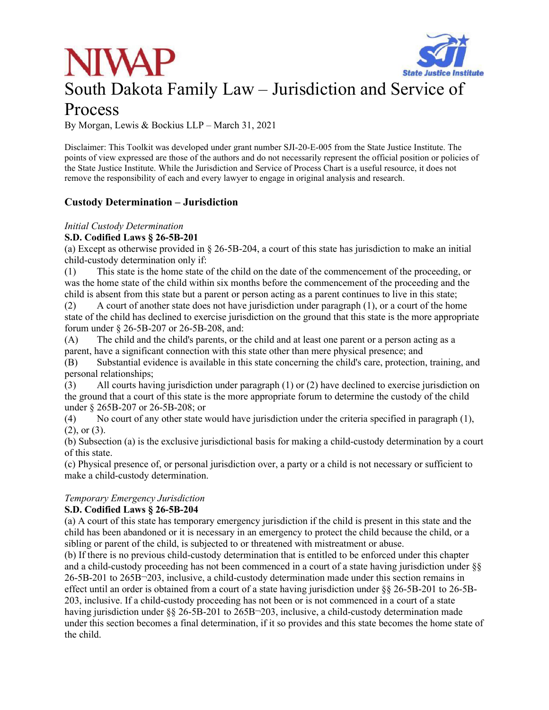



# South Dakota Family Law – Jurisdiction and Service of

# Process

By Morgan, Lewis & Bockius LLP – March 31, 2021

Disclaimer: This Toolkit was developed under grant number SJI-20-E-005 from the State Justice Institute. The points of view expressed are those of the authors and do not necessarily represent the official position or policies of the State Justice Institute. While the Jurisdiction and Service of Process Chart is a useful resource, it does not remove the responsibility of each and every lawyer to engage in original analysis and research.

# **Custody Determination – Jurisdiction**

# *Initial Custody Determination*

# **S.D. Codified Laws § 26-5B-201**

(a) Except as otherwise provided in  $\S 26-5B-204$ , a court of this state has jurisdiction to make an initial child-custody determination only if:

(1) This state is the home state of the child on the date of the commencement of the proceeding, or was the home state of the child within six months before the commencement of the proceeding and the child is absent from this state but a parent or person acting as a parent continues to live in this state;

(2) A court of another state does not have jurisdiction under paragraph (1), or a court of the home state of the child has declined to exercise jurisdiction on the ground that this state is the more appropriate forum under § 26-5B-207 or 26-5B-208, and:

(A) The child and the child's parents, or the child and at least one parent or a person acting as a parent, have a significant connection with this state other than mere physical presence; and

(B) Substantial evidence is available in this state concerning the child's care, protection, training, and personal relationships;

(3) All courts having jurisdiction under paragraph (1) or (2) have declined to exercise jurisdiction on the ground that a court of this state is the more appropriate forum to determine the custody of the child under § 265B-207 or 26-5B-208; or

(4) No court of any other state would have jurisdiction under the criteria specified in paragraph (1), (2), or (3).

(b) Subsection (a) is the exclusive jurisdictional basis for making a child-custody determination by a court of this state.

(c) Physical presence of, or personal jurisdiction over, a party or a child is not necessary or sufficient to make a child-custody determination.

## *Temporary Emergency Jurisdiction*

## **S.D. Codified Laws § 26-5B-204**

(a) A court of this state has temporary emergency jurisdiction if the child is present in this state and the child has been abandoned or it is necessary in an emergency to protect the child because the child, or a sibling or parent of the child, is subjected to or threatened with mistreatment or abuse.

(b) If there is no previous child-custody determination that is entitled to be enforced under this chapter and a child-custody proceeding has not been commenced in a court of a state having jurisdiction under §§ 26-5B-201 to 265B¬203, inclusive, a child-custody determination made under this section remains in effect until an order is obtained from a court of a state having jurisdiction under §§ 26-5B-201 to 26-5B-203, inclusive. If a child-custody proceeding has not been or is not commenced in a court of a state having jurisdiction under  $\S$ § 26-5B-201 to 265B $\neg$ 203, inclusive, a child-custody determination made under this section becomes a final determination, if it so provides and this state becomes the home state of the child.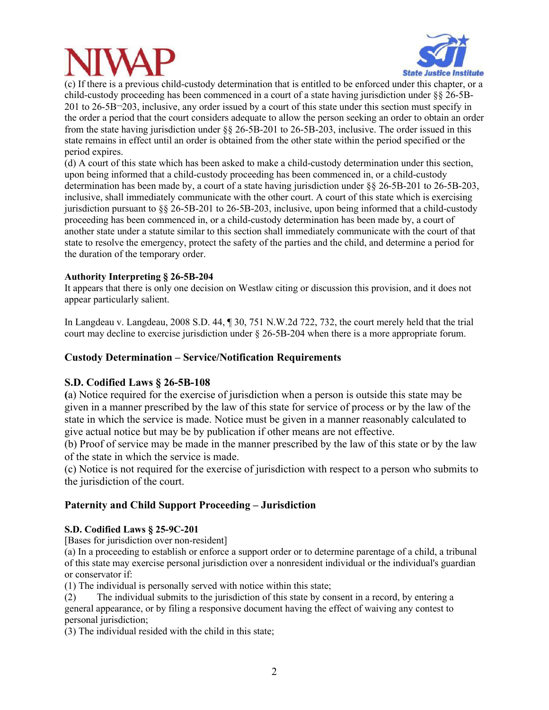



(c) If there is a previous child-custody determination that is entitled to be enforced under this chapter, or a child-custody proceeding has been commenced in a court of a state having jurisdiction under §§ 26-5B-201 to 26-5B¬203, inclusive, any order issued by a court of this state under this section must specify in the order a period that the court considers adequate to allow the person seeking an order to obtain an order from the state having jurisdiction under §§ 26-5B-201 to 26-5B-203, inclusive. The order issued in this state remains in effect until an order is obtained from the other state within the period specified or the period expires.

(d) A court of this state which has been asked to make a child-custody determination under this section, upon being informed that a child-custody proceeding has been commenced in, or a child-custody determination has been made by, a court of a state having jurisdiction under §§ 26-5B-201 to 26-5B-203, inclusive, shall immediately communicate with the other court. A court of this state which is exercising jurisdiction pursuant to §§ 26-5B-201 to 26-5B-203, inclusive, upon being informed that a child-custody proceeding has been commenced in, or a child-custody determination has been made by, a court of another state under a statute similar to this section shall immediately communicate with the court of that state to resolve the emergency, protect the safety of the parties and the child, and determine a period for the duration of the temporary order.

## **Authority Interpreting § 26-5B-204**

It appears that there is only one decision on Westlaw citing or discussion this provision, and it does not appear particularly salient.

In Langdeau v. Langdeau, 2008 S.D. 44, ¶ 30, 751 N.W.2d 722, 732, the court merely held that the trial court may decline to exercise jurisdiction under § 26-5B-204 when there is a more appropriate forum.

## **Custody Determination – Service/Notification Requirements**

### **S.D. Codified Laws § 26-5B-108**

**(**a) Notice required for the exercise of jurisdiction when a person is outside this state may be given in a manner prescribed by the law of this state for service of process or by the law of the state in which the service is made. Notice must be given in a manner reasonably calculated to give actual notice but may be by publication if other means are not effective.

(b) Proof of service may be made in the manner prescribed by the law of this state or by the law of the state in which the service is made.

(c) Notice is not required for the exercise of jurisdiction with respect to a person who submits to the jurisdiction of the court.

### **Paternity and Child Support Proceeding – Jurisdiction**

### **S.D. Codified Laws § 25-9C-201**

[Bases for jurisdiction over non-resident]

(a) In a proceeding to establish or enforce a support order or to determine parentage of a child, a tribunal of this state may exercise personal jurisdiction over a nonresident individual or the individual's guardian or conservator if:

(1) The individual is personally served with notice within this state;

(2) The individual submits to the jurisdiction of this state by consent in a record, by entering a general appearance, or by filing a responsive document having the effect of waiving any contest to personal jurisdiction;

(3) The individual resided with the child in this state;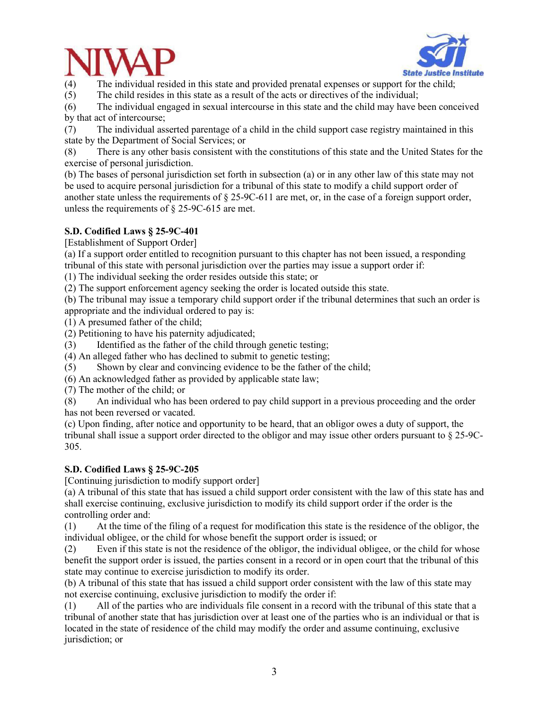



(4) The individual resided in this state and provided prenatal expenses or support for the child;

(5) The child resides in this state as a result of the acts or directives of the individual;

(6) The individual engaged in sexual intercourse in this state and the child may have been conceived by that act of intercourse;

(7) The individual asserted parentage of a child in the child support case registry maintained in this state by the Department of Social Services; or

(8) There is any other basis consistent with the constitutions of this state and the United States for the exercise of personal jurisdiction.

(b) The bases of personal jurisdiction set forth in subsection (a) or in any other law of this state may not be used to acquire personal jurisdiction for a tribunal of this state to modify a child support order of another state unless the requirements of § 25-9C-611 are met, or, in the case of a foreign support order, unless the requirements of § 25-9C-615 are met.

## **S.D. Codified Laws § 25-9C-401**

[Establishment of Support Order]

(a) If a support order entitled to recognition pursuant to this chapter has not been issued, a responding tribunal of this state with personal jurisdiction over the parties may issue a support order if:

(1) The individual seeking the order resides outside this state; or

(2) The support enforcement agency seeking the order is located outside this state.

(b) The tribunal may issue a temporary child support order if the tribunal determines that such an order is appropriate and the individual ordered to pay is:

(1) A presumed father of the child;

(2) Petitioning to have his paternity adjudicated;

(3) Identified as the father of the child through genetic testing;

(4) An alleged father who has declined to submit to genetic testing;

(5) Shown by clear and convincing evidence to be the father of the child;

(6) An acknowledged father as provided by applicable state law;

(7) The mother of the child; or

(8) An individual who has been ordered to pay child support in a previous proceeding and the order has not been reversed or vacated.

(c) Upon finding, after notice and opportunity to be heard, that an obligor owes a duty of support, the tribunal shall issue a support order directed to the obligor and may issue other orders pursuant to § 25-9C-305.

### **S.D. Codified Laws § 25-9C-205**

[Continuing jurisdiction to modify support order]

(a) A tribunal of this state that has issued a child support order consistent with the law of this state has and shall exercise continuing, exclusive jurisdiction to modify its child support order if the order is the controlling order and:

(1) At the time of the filing of a request for modification this state is the residence of the obligor, the individual obligee, or the child for whose benefit the support order is issued; or

(2) Even if this state is not the residence of the obligor, the individual obligee, or the child for whose benefit the support order is issued, the parties consent in a record or in open court that the tribunal of this state may continue to exercise jurisdiction to modify its order.

(b) A tribunal of this state that has issued a child support order consistent with the law of this state may not exercise continuing, exclusive jurisdiction to modify the order if:

(1) All of the parties who are individuals file consent in a record with the tribunal of this state that a tribunal of another state that has jurisdiction over at least one of the parties who is an individual or that is located in the state of residence of the child may modify the order and assume continuing, exclusive jurisdiction; or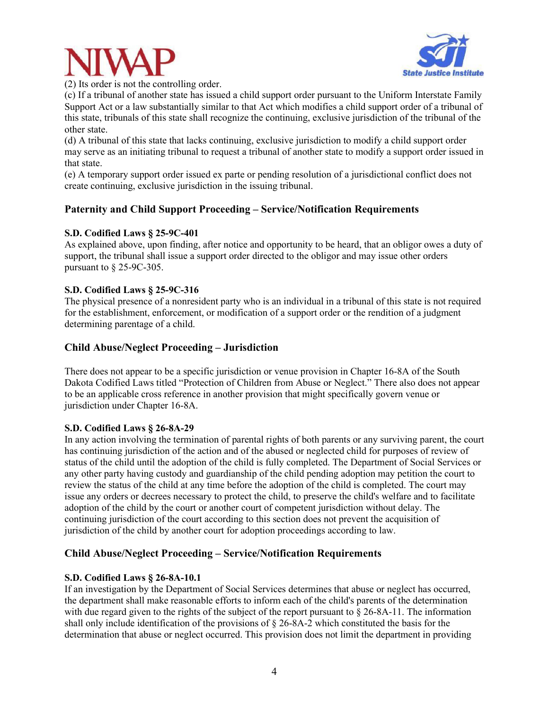



(2) Its order is not the controlling order.

(c) If a tribunal of another state has issued a child support order pursuant to the Uniform Interstate Family Support Act or a law substantially similar to that Act which modifies a child support order of a tribunal of this state, tribunals of this state shall recognize the continuing, exclusive jurisdiction of the tribunal of the other state.

(d) A tribunal of this state that lacks continuing, exclusive jurisdiction to modify a child support order may serve as an initiating tribunal to request a tribunal of another state to modify a support order issued in that state.

(e) A temporary support order issued ex parte or pending resolution of a jurisdictional conflict does not create continuing, exclusive jurisdiction in the issuing tribunal.

# **Paternity and Child Support Proceeding – Service/Notification Requirements**

## **S.D. Codified Laws § 25-9C-401**

As explained above, upon finding, after notice and opportunity to be heard, that an obligor owes a duty of support, the tribunal shall issue a support order directed to the obligor and may issue other orders pursuant to § 25-9C-305.

## **S.D. Codified Laws § 25-9C-316**

The physical presence of a nonresident party who is an individual in a tribunal of this state is not required for the establishment, enforcement, or modification of a support order or the rendition of a judgment determining parentage of a child.

# **Child Abuse/Neglect Proceeding – Jurisdiction**

There does not appear to be a specific jurisdiction or venue provision in Chapter 16-8A of the South Dakota Codified Laws titled "Protection of Children from Abuse or Neglect." There also does not appear to be an applicable cross reference in another provision that might specifically govern venue or jurisdiction under Chapter 16-8A.

## **S.D. Codified Laws § 26-8A-29**

In any action involving the termination of parental rights of both parents or any surviving parent, the court has continuing jurisdiction of the action and of the abused or neglected child for purposes of review of status of the child until the adoption of the child is fully completed. The Department of Social Services or any other party having custody and guardianship of the child pending adoption may petition the court to review the status of the child at any time before the adoption of the child is completed. The court may issue any orders or decrees necessary to protect the child, to preserve the child's welfare and to facilitate adoption of the child by the court or another court of competent jurisdiction without delay. The continuing jurisdiction of the court according to this section does not prevent the acquisition of jurisdiction of the child by another court for adoption proceedings according to law.

# **Child Abuse/Neglect Proceeding – Service/Notification Requirements**

## **S.D. Codified Laws § 26-8A-10.1**

If an investigation by the Department of Social Services determines that abuse or neglect has occurred, the department shall make reasonable efforts to inform each of the child's parents of the determination with due regard given to the rights of the subject of the report pursuant to  $\S$  26-8A-11. The information shall only include identification of the provisions of § 26-8A-2 which constituted the basis for the determination that abuse or neglect occurred. This provision does not limit the department in providing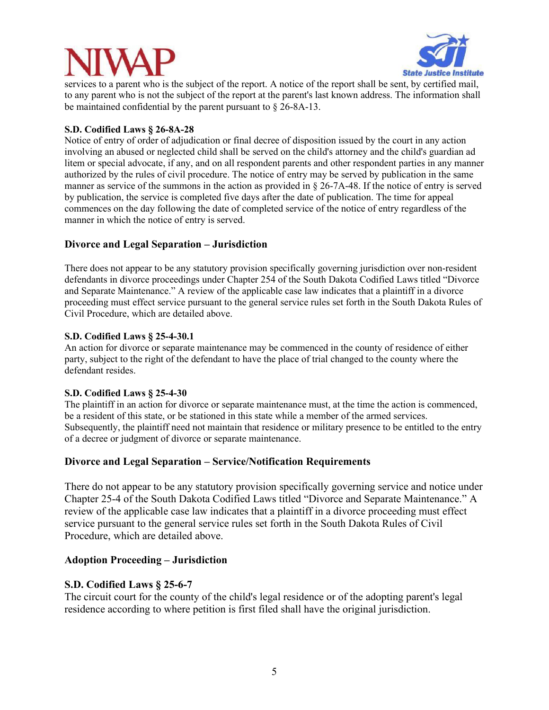

services to a parent who is the subject of the report. A notice of the report shall be sent, by certified mail, to any parent who is not the subject of the report at the parent's last known address. The information shall be maintained confidential by the parent pursuant to § 26-8A-13.

# **S.D. Codified Laws § 26-8A-28**

Notice of entry of order of adjudication or final decree of disposition issued by the court in any action involving an abused or neglected child shall be served on the child's attorney and the child's guardian ad litem or special advocate, if any, and on all respondent parents and other respondent parties in any manner authorized by the rules of civil procedure. The notice of entry may be served by publication in the same manner as service of the summons in the action as provided in § 26-7A-48. If the notice of entry is served by publication, the service is completed five days after the date of publication. The time for appeal commences on the day following the date of completed service of the notice of entry regardless of the manner in which the notice of entry is served.

# **Divorce and Legal Separation – Jurisdiction**

There does not appear to be any statutory provision specifically governing jurisdiction over non-resident defendants in divorce proceedings under Chapter 254 of the South Dakota Codified Laws titled "Divorce and Separate Maintenance." A review of the applicable case law indicates that a plaintiff in a divorce proceeding must effect service pursuant to the general service rules set forth in the South Dakota Rules of Civil Procedure, which are detailed above.

## **S.D. Codified Laws § 25-4-30.1**

An action for divorce or separate maintenance may be commenced in the county of residence of either party, subject to the right of the defendant to have the place of trial changed to the county where the defendant resides.

## **S.D. Codified Laws § 25-4-30**

The plaintiff in an action for divorce or separate maintenance must, at the time the action is commenced, be a resident of this state, or be stationed in this state while a member of the armed services. Subsequently, the plaintiff need not maintain that residence or military presence to be entitled to the entry of a decree or judgment of divorce or separate maintenance.

# **Divorce and Legal Separation – Service/Notification Requirements**

There do not appear to be any statutory provision specifically governing service and notice under Chapter 25-4 of the South Dakota Codified Laws titled "Divorce and Separate Maintenance." A review of the applicable case law indicates that a plaintiff in a divorce proceeding must effect service pursuant to the general service rules set forth in the South Dakota Rules of Civil Procedure, which are detailed above.

# **Adoption Proceeding – Jurisdiction**

# **S.D. Codified Laws § 25-6-7**

The circuit court for the county of the child's legal residence or of the adopting parent's legal residence according to where petition is first filed shall have the original jurisdiction.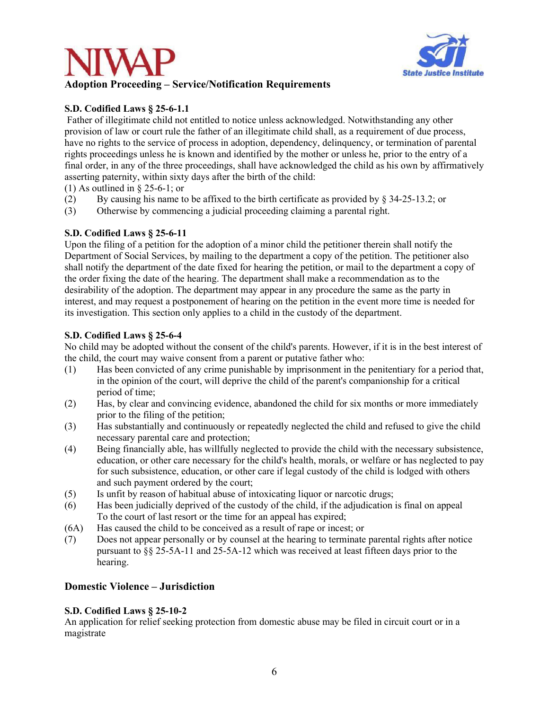



# **S.D. Codified Laws § 25-6-1.1**

 Father of illegitimate child not entitled to notice unless acknowledged. Notwithstanding any other provision of law or court rule the father of an illegitimate child shall, as a requirement of due process, have no rights to the service of process in adoption, dependency, delinquency, or termination of parental rights proceedings unless he is known and identified by the mother or unless he, prior to the entry of a final order, in any of the three proceedings, shall have acknowledged the child as his own by affirmatively asserting paternity, within sixty days after the birth of the child:

(1) As outlined in § 25-6-1; or

- (2) By causing his name to be affixed to the birth certificate as provided by  $\frac{834-25-13.2}{ }$ ; or
- (3) Otherwise by commencing a judicial proceeding claiming a parental right.

# **S.D. Codified Laws § 25-6-11**

Upon the filing of a petition for the adoption of a minor child the petitioner therein shall notify the Department of Social Services, by mailing to the department a copy of the petition. The petitioner also shall notify the department of the date fixed for hearing the petition, or mail to the department a copy of the order fixing the date of the hearing. The department shall make a recommendation as to the desirability of the adoption. The department may appear in any procedure the same as the party in interest, and may request a postponement of hearing on the petition in the event more time is needed for its investigation. This section only applies to a child in the custody of the department.

# **S.D. Codified Laws § 25-6-4**

No child may be adopted without the consent of the child's parents. However, if it is in the best interest of the child, the court may waive consent from a parent or putative father who:

- (1) Has been convicted of any crime punishable by imprisonment in the penitentiary for a period that, in the opinion of the court, will deprive the child of the parent's companionship for a critical period of time;
- (2) Has, by clear and convincing evidence, abandoned the child for six months or more immediately prior to the filing of the petition;
- (3) Has substantially and continuously or repeatedly neglected the child and refused to give the child necessary parental care and protection;
- (4) Being financially able, has willfully neglected to provide the child with the necessary subsistence, education, or other care necessary for the child's health, morals, or welfare or has neglected to pay for such subsistence, education, or other care if legal custody of the child is lodged with others and such payment ordered by the court;
- (5) Is unfit by reason of habitual abuse of intoxicating liquor or narcotic drugs;
- (6) Has been judicially deprived of the custody of the child, if the adjudication is final on appeal To the court of last resort or the time for an appeal has expired;
- (6A) Has caused the child to be conceived as a result of rape or incest; or
- (7) Does not appear personally or by counsel at the hearing to terminate parental rights after notice pursuant to §§ 25-5A-11 and 25-5A-12 which was received at least fifteen days prior to the hearing.

## **Domestic Violence – Jurisdiction**

## **S.D. Codified Laws § 25-10-2**

An application for relief seeking protection from domestic abuse may be filed in circuit court or in a magistrate